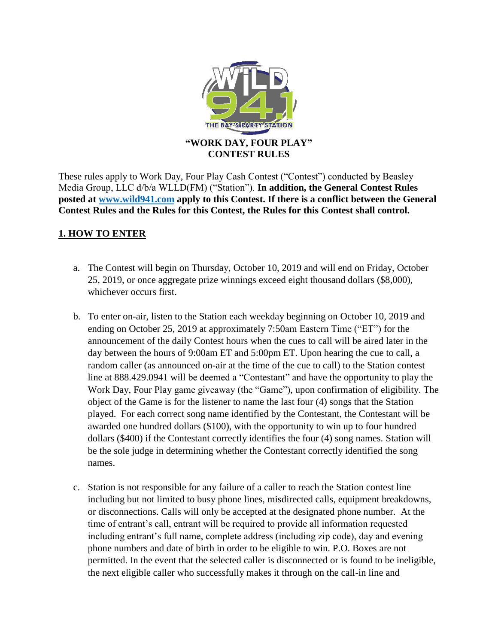

These rules apply to Work Day, Four Play Cash Contest ("Contest") conducted by Beasley Media Group, LLC d/b/a WLLD(FM) ("Station"). **In addition, the General Contest Rules posted at [www.wild941.com](http://www.wild941.com/) apply to this Contest. If there is a conflict between the General Contest Rules and the Rules for this Contest, the Rules for this Contest shall control.**

# **1. HOW TO ENTER**

- a. The Contest will begin on Thursday, October 10, 2019 and will end on Friday, October 25, 2019, or once aggregate prize winnings exceed eight thousand dollars (\$8,000), whichever occurs first.
- b. To enter on-air, listen to the Station each weekday beginning on October 10, 2019 and ending on October 25, 2019 at approximately 7:50am Eastern Time ("ET") for the announcement of the daily Contest hours when the cues to call will be aired later in the day between the hours of 9:00am ET and 5:00pm ET. Upon hearing the cue to call, a random caller (as announced on-air at the time of the cue to call) to the Station contest line at 888.429.0941 will be deemed a "Contestant" and have the opportunity to play the Work Day, Four Play game giveaway (the "Game"), upon confirmation of eligibility. The object of the Game is for the listener to name the last four (4) songs that the Station played. For each correct song name identified by the Contestant, the Contestant will be awarded one hundred dollars (\$100), with the opportunity to win up to four hundred dollars (\$400) if the Contestant correctly identifies the four (4) song names. Station will be the sole judge in determining whether the Contestant correctly identified the song names.
- c. Station is not responsible for any failure of a caller to reach the Station contest line including but not limited to busy phone lines, misdirected calls, equipment breakdowns, or disconnections. Calls will only be accepted at the designated phone number. At the time of entrant's call, entrant will be required to provide all information requested including entrant's full name, complete address (including zip code), day and evening phone numbers and date of birth in order to be eligible to win. P.O. Boxes are not permitted. In the event that the selected caller is disconnected or is found to be ineligible, the next eligible caller who successfully makes it through on the call-in line and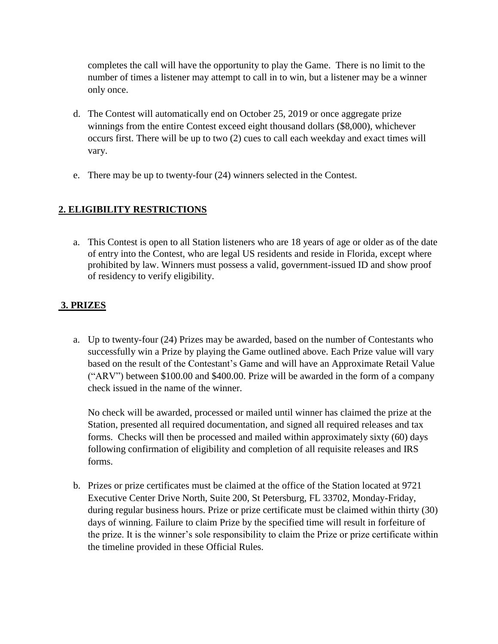completes the call will have the opportunity to play the Game. There is no limit to the number of times a listener may attempt to call in to win, but a listener may be a winner only once.

- d. The Contest will automatically end on October 25, 2019 or once aggregate prize winnings from the entire Contest exceed eight thousand dollars (\$8,000), whichever occurs first. There will be up to two (2) cues to call each weekday and exact times will vary.
- e. There may be up to twenty-four (24) winners selected in the Contest.

## **2. ELIGIBILITY RESTRICTIONS**

a. This Contest is open to all Station listeners who are 18 years of age or older as of the date of entry into the Contest, who are legal US residents and reside in Florida, except where prohibited by law. Winners must possess a valid, government-issued ID and show proof of residency to verify eligibility.

## **3. PRIZES**

a. Up to twenty-four (24) Prizes may be awarded, based on the number of Contestants who successfully win a Prize by playing the Game outlined above. Each Prize value will vary based on the result of the Contestant's Game and will have an Approximate Retail Value ("ARV") between \$100.00 and \$400.00. Prize will be awarded in the form of a company check issued in the name of the winner.

No check will be awarded, processed or mailed until winner has claimed the prize at the Station, presented all required documentation, and signed all required releases and tax forms. Checks will then be processed and mailed within approximately sixty (60) days following confirmation of eligibility and completion of all requisite releases and IRS forms.

b. Prizes or prize certificates must be claimed at the office of the Station located at 9721 Executive Center Drive North, Suite 200, St Petersburg, FL 33702, Monday-Friday, during regular business hours. Prize or prize certificate must be claimed within thirty (30) days of winning. Failure to claim Prize by the specified time will result in forfeiture of the prize. It is the winner's sole responsibility to claim the Prize or prize certificate within the timeline provided in these Official Rules.